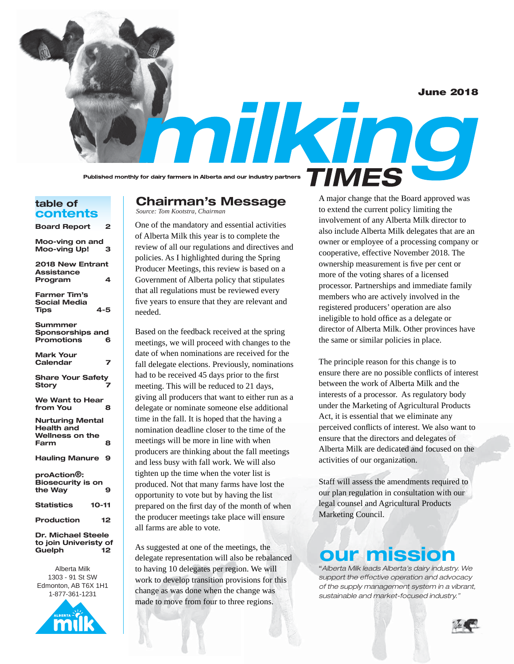June 2018

Published monthly for dairy farmers in Alberta and our industry partners  $\prod \text{MS}$ 

#### **table of contents**

| <b>Board Report</b>                                                            | 2  |
|--------------------------------------------------------------------------------|----|
| Moo-ving on and<br>Moo-ving Up!                                                |    |
| <b>2018 New Entrant</b><br><b>Assistance</b><br>Program                        | 4  |
| <b>Farmer Tim's</b><br><b>Social Media</b><br><b>Tips</b><br>4-5               |    |
| <b>Summmer</b><br>Sponsorships and<br><b>Promotions</b>                        | 6  |
| <b>Mark Your</b><br>Calendar                                                   | 7  |
| <b>Share Your Safety</b><br><b>Story</b>                                       |    |
| We Want to Hear<br>from You                                                    |    |
| <b>Nurturing Mental</b><br><b>Health and</b><br><b>Wellness on the</b><br>Farm | 8  |
| <b>Hauling Manure</b>                                                          | 9  |
| proAction®:<br><b>Biosecurity is on</b><br>the Way                             |    |
| <b>Statistics</b><br>$10 - 11$                                                 |    |
| <b>Production</b>                                                              | 12 |
| Dr. Michael Steele                                                             |    |

### **to join Univeristy of Guelph 12**

Alberta Milk 1303 - 91 St SW Edmonton, AB T6X 1H1 1-877-361-1231



### **Chairman's Message**

*Source: Tom Kootstra, Chairman*

One of the mandatory and essential activities of Alberta Milk this year is to complete the review of all our regulations and directives and policies. As I highlighted during the Spring Producer Meetings, this review is based on a Government of Alberta policy that stipulates that all regulations must be reviewed every five years to ensure that they are relevant and needed.

Based on the feedback received at the spring meetings, we will proceed with changes to the date of when nominations are received for the fall delegate elections. Previously, nominations had to be received 45 days prior to the first meeting. This will be reduced to 21 days, giving all producers that want to either run as a delegate or nominate someone else additional time in the fall. It is hoped that the having a nomination deadline closer to the time of the meetings will be more in line with when producers are thinking about the fall meetings and less busy with fall work. We will also tighten up the time when the voter list is produced. Not that many farms have lost the opportunity to vote but by having the list prepared on the first day of the month of when the producer meetings take place will ensure all farms are able to vote.

As suggested at one of the meetings, the delegate representation will also be rebalanced to having 10 delegates per region. We will work to develop transition provisions for this change as was done when the change was made to move from four to three regions.

A major change that the Board approved was to extend the current policy limiting the involvement of any Alberta Milk director to also include Alberta Milk delegates that are an owner or employee of a processing company or cooperative, effective November 2018. The ownership measurement is five per cent or more of the voting shares of a licensed processor. Partnerships and immediate family members who are actively involved in the registered producers' operation are also ineligible to hold office as a delegate or director of Alberta Milk. Other provinces have the same or similar policies in place.

milking

The principle reason for this change is to ensure there are no possible conflicts of interest between the work of Alberta Milk and the interests of a processor. As regulatory body under the Marketing of Agricultural Products Act, it is essential that we eliminate any perceived conflicts of interest. We also want to ensure that the directors and delegates of Alberta Milk are dedicated and focused on the activities of our organization.

Staff will assess the amendments required to our plan regulation in consultation with our legal counsel and Agricultural Products Marketing Council.

# **our mission**

"*Alberta Milk leads Alberta's dairy industry. We support the effective operation and advocacy of the supply management system in a vibrant, sustainable and market-focused industry."*

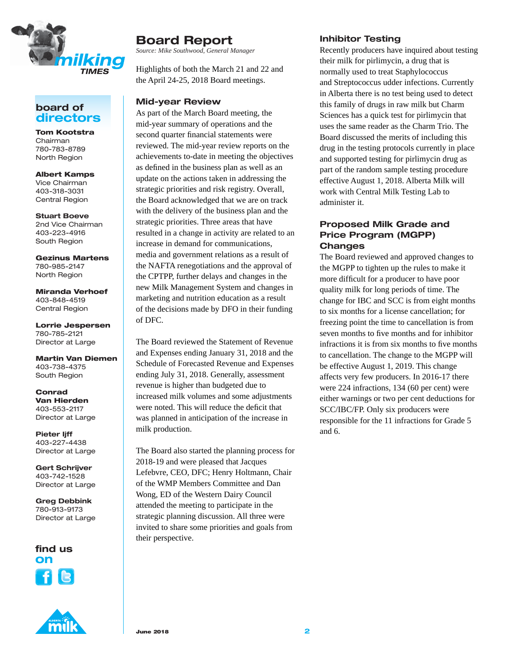

### **board of directors**

**Tom Kootstra**  Chairman 780-783-8789 North Region

**Albert Kamps** Vice Chairman 403-318-3031 Central Region

#### **Stuart Boeve**

2nd Vice Chairman 403-223-4916 South Region

**Gezinus Martens** 780-985-2147 North Region

**Miranda Verhoef** 403-848-4519 Central Region

#### **Lorrie Jespersen** 780-785-2121 Director at Large

**Martin Van Diemen** 403-738-4375 South Region

**Conrad Van Hierden** 403-553-2117 Director at Large

**Pieter Ijff** 403-227-4438 Director at Large

**Gert Schrijver** 403-742-1528 Director at Large

**Greg Debbink** 780-913-9173 Director at Large

find us **on**

### **Board Report**

*Source: Mike Southwood, General Manager*

Highlights of both the March 21 and 22 and the April 24-25, 2018 Board meetings.

#### **Mid-year Review**

As part of the March Board meeting, the mid-year summary of operations and the second quarter financial statements were reviewed. The mid-year review reports on the achievements to-date in meeting the objectives as defined in the business plan as well as an update on the actions taken in addressing the strategic priorities and risk registry. Overall, the Board acknowledged that we are on track with the delivery of the business plan and the strategic priorities. Three areas that have resulted in a change in activity are related to an increase in demand for communications, media and government relations as a result of the NAFTA renegotiations and the approval of the CPTPP, further delays and changes in the new Milk Management System and changes in marketing and nutrition education as a result of the decisions made by DFO in their funding of DFC.

The Board reviewed the Statement of Revenue and Expenses ending January 31, 2018 and the Schedule of Forecasted Revenue and Expenses ending July 31, 2018. Generally, assessment revenue is higher than budgeted due to increased milk volumes and some adjustments were noted. This will reduce the deficit that was planned in anticipation of the increase in milk production.

The Board also started the planning process for 2018-19 and were pleased that Jacques Lefebvre, CEO, DFC; Henry Holtmann, Chair of the WMP Members Committee and Dan Wong, ED of the Western Dairy Council attended the meeting to participate in the strategic planning discussion. All three were invited to share some priorities and goals from their perspective.

#### **Inhibitor Testing**

Recently producers have inquired about testing their milk for pirlimycin, a drug that is normally used to treat Staphylococcus and Streptococcus udder infections. Currently in Alberta there is no test being used to detect this family of drugs in raw milk but Charm Sciences has a quick test for pirlimycin that uses the same reader as the Charm Trio. The Board discussed the merits of including this drug in the testing protocols currently in place and supported testing for pirlimycin drug as part of the random sample testing procedure effective August 1, 2018. Alberta Milk will work with Central Milk Testing Lab to administer it.

#### **Proposed Milk Grade and Price Program (MGPP) Changes**

The Board reviewed and approved changes to the MGPP to tighten up the rules to make it more difficult for a producer to have poor quality milk for long periods of time. The change for IBC and SCC is from eight months to six months for a license cancellation; for freezing point the time to cancellation is from seven months to five months and for inhibitor infractions it is from six months to five months to cancellation. The change to the MGPP will be effective August 1, 2019. This change affects very few producers. In 2016-17 there were 224 infractions, 134 (60 per cent) were either warnings or two per cent deductions for SCC/IBC/FP. Only six producers were responsible for the 11 infractions for Grade 5 and 6.

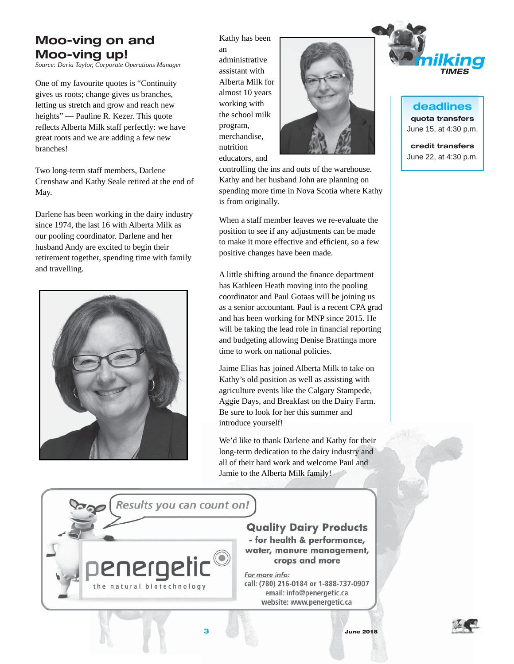### **Moo-ving on and Moo-ving up!**

*Source: Daria Taylor, Corporate Operations Manager*

One of my favourite quotes is "Continuity gives us roots; change gives us branches, letting us stretch and grow and reach new heights" — Pauline R. Kezer. This quote reflects Alberta Milk staff perfectly: we have great roots and we are adding a few new branches!

Two long-term staff members, Darlene Crenshaw and Kathy Seale retired at the end of May.

Darlene has been working in the dairy industry since 1974, the last 16 with Alberta Milk as our pooling coordinator. Darlene and her husband Andy are excited to begin their retirement together, spending time with family and travelling.



Kathy has been an administrative assistant with Alberta Milk for almost 10 years working with the school milk program, merchandise, nutrition educators, and



controlling the ins and outs of the warehouse. Kathy and her husband John are planning on spending more time in Nova Scotia where Kathy is from originally.

When a staff member leaves we re-evaluate the position to see if any adjustments can be made to make it more effective and efficient, so a few positive changes have been made.

A little shifting around the finance department has Kathleen Heath moving into the pooling coordinator and Paul Gotaas will be joining us as a senior accountant. Paul is a recent CPA grad and has been working for MNP since 2015. He will be taking the lead role in financial reporting and budgeting allowing Denise Brattinga more time to work on national policies.

Jaime Elias has joined Alberta Milk to take on Kathy's old position as well as assisting with agriculture events like the Calgary Stampede, Aggie Days, and Breakfast on the Dairy Farm. Be sure to look for her this summer and introduce yourself!

We'd like to thank Darlene and Kathy for their long-term dedication to the dairy industry and all of their hard work and welcome Paul and Jamie to the Alberta Milk family!

Results you can count on!

the natural biotechnology

**Quality Dairy Products** - for health & performance, water, manure management, crops and more

For more info: call: (780) 216-0184 or 1-888-737-0907 email: info@penergetic.ca website: www.penergetic.ca



**deadlines quota transfers** June 15, at 4:30 p.m.

**credit transfers** June 22, at 4:30 p.m.

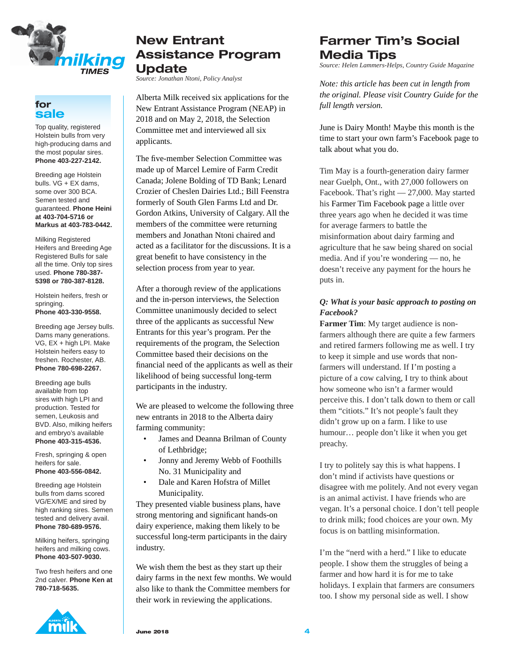

#### **for sale**

Top quality, registered Holstein bulls from very high-producing dams and the most popular sires. **Phone 403-227-2142.** 

Breeding age Holstein bulls. VG + EX dams, some over 300 BCA. Semen tested and guaranteed. **Phone Heini at 403-704-5716 or Markus at 403-783-0442.** 

Milking Registered Heifers and Breeding Age Registered Bulls for sale all the time. Only top sires used. **Phone 780-387- 5398 or 780-387-8128.** 

Holstein heifers, fresh or springing. **Phone 403-330-9558.**

Breeding age Jersey bulls. Dams many generations. VG, EX + high LPI. Make Holstein heifers easy to freshen. Rochester, AB. **Phone 780-698-2267.** 

Breeding age bulls available from top sires with high LPI and production. Tested for semen, Leukosis and BVD. Also, milking heifers and embryo's available **Phone 403-315-4536.**

Fresh, springing & open heifers for sale. **Phone 403-556-0842.** 

Breeding age Holstein bulls from dams scored VG/EX/ME and sired by high ranking sires. Semen tested and delivery avail. **Phone 780-689-9576.**

Milking heifers, springing heifers and milking cows. **Phone 403-507-9030.**

Two fresh heifers and one 2nd calver. **Phone Ken at 780-718-5635.** 

### **New Entrant Assistance Program Update**

*Source: Jonathan Ntoni, Policy Analyst*

Alberta Milk received six applications for the New Entrant Assistance Program (NEAP) in 2018 and on May 2, 2018, the Selection Committee met and interviewed all six applicants.

The five-member Selection Committee was made up of Marcel Lemire of Farm Credit Canada; Jolene Bolding of TD Bank; Lenard Crozier of Cheslen Dairies Ltd.; Bill Feenstra formerly of South Glen Farms Ltd and Dr. Gordon Atkins, University of Calgary. All the members of the committee were returning members and Jonathan Ntoni chaired and acted as a facilitator for the discussions. It is a great benefit to have consistency in the selection process from year to year.

After a thorough review of the applications and the in-person interviews, the Selection Committee unanimously decided to select three of the applicants as successful New Entrants for this year's program. Per the requirements of the program, the Selection Committee based their decisions on the financial need of the applicants as well as their likelihood of being successful long-term participants in the industry.

We are pleased to welcome the following three new entrants in 2018 to the Alberta dairy farming community:

- James and Deanna Brilman of County of Lethbridge;
- Jonny and Jeremy Webb of Foothills No. 31 Municipality and
- Dale and Karen Hofstra of Millet Municipality.

They presented viable business plans, have strong mentoring and significant hands-on dairy experience, making them likely to be successful long-term participants in the dairy industry.

We wish them the best as they start up their dairy farms in the next few months. We would also like to thank the Committee members for their work in reviewing the applications.

# **Farmer Tim's Social Media Tips**

*Source: Helen Lammers-Helps, Country Guide Magazine* 

*Note: this article has been cut in length from the original. Please visit Country Guide for the full length version.*

June is Dairy Month! Maybe this month is the time to start your own farm's Facebook page to talk about what you do.

Tim May is a fourth-generation dairy farmer near Guelph, Ont., with 27,000 followers on Facebook. That's right — 27,000. May started his Farmer Tim Facebook page a little over three years ago when he decided it was time for average farmers to battle the misinformation about dairy farming and agriculture that he saw being shared on social media. And if you're wondering — no, he doesn't receive any payment for the hours he puts in.

### *Q: What is your basic approach to posting on Facebook?*

**Farmer Tim**: My target audience is nonfarmers although there are quite a few farmers and retired farmers following me as well. I try to keep it simple and use words that nonfarmers will understand. If I'm posting a picture of a cow calving, I try to think about how someone who isn't a farmer would perceive this. I don't talk down to them or call them "citiots." It's not people's fault they didn't grow up on a farm. I like to use humour… people don't like it when you get preachy.

I try to politely say this is what happens. I don't mind if activists have questions or disagree with me politely. And not every vegan is an animal activist. I have friends who are vegan. It's a personal choice. I don't tell people to drink milk; food choices are your own. My focus is on battling misinformation.

I'm the "nerd with a herd." I like to educate people. I show them the struggles of being a farmer and how hard it is for me to take holidays. I explain that farmers are consumers too. I show my personal side as well. I show

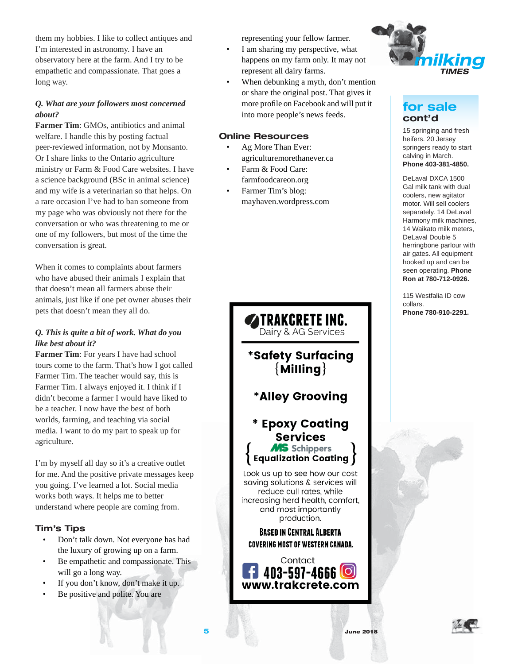them my hobbies. I like to collect antiques and I'm interested in astronomy. I have an observatory here at the farm. And I try to be empathetic and compassionate. That goes a long way.

#### *Q. What are your followers most concerned about?*

**Farmer Tim**: GMOs, antibiotics and animal welfare. I handle this by posting factual peer-reviewed information, not by Monsanto. Or I share links to the Ontario agriculture ministry or Farm & Food Care websites. I have a science background (BSc in animal science) and my wife is a veterinarian so that helps. On a rare occasion I've had to ban someone from my page who was obviously not there for the conversation or who was threatening to me or one of my followers, but most of the time the conversation is great.

When it comes to complaints about farmers who have abused their animals I explain that that doesn't mean all farmers abuse their animals, just like if one pet owner abuses their pets that doesn't mean they all do.

#### *Q. This is quite a bit of work. What do you like best about it?*

**Farmer Tim**: For years I have had school tours come to the farm. That's how I got called Farmer Tim. The teacher would say, this is Farmer Tim. I always enjoyed it. I think if I didn't become a farmer I would have liked to be a teacher. I now have the best of both worlds, farming, and teaching via social media. I want to do my part to speak up for agriculture.

I'm by myself all day so it's a creative outlet for me. And the positive private messages keep you going. I've learned a lot. Social media works both ways. It helps me to better understand where people are coming from.

#### **Tim's Tips**

- Don't talk down. Not everyone has had the luxury of growing up on a farm.
- Be empathetic and compassionate. This will go a long way.
- If you don't know, don't make it up.
- Be positive and polite. You are

representing your fellow farmer.

- I am sharing my perspective, what happens on my farm only. It may not represent all dairy farms.
- When debunking a myth, don't mention or share the original post. That gives it more profile on Facebook and will put it into more people's news feeds.

#### **Online Resources**

- Ag More Than Ever: agriculturemorethanever.ca
- Farm & Food Care: farmfoodcareon.org
- Farmer Tim's blog: mayhaven.wordpress.com



### **for sale cont'd**

15 springing and fresh heifers. 20 Jersey springers ready to start calving in March. **Phone 403-381-4850.**

DeLaval DXCA 1500 Gal milk tank with dual coolers, new agitator motor. Will sell coolers separately. 14 DeLaval Harmony milk machines, 14 Waikato milk meters, DeLaval Double 5 herringbone parlour with air gates. All equipment hooked up and can be seen operating. **Phone Ron at 780-712-0926.** 

115 Westfalia ID cow collars. **Phone 780-910-2291.**



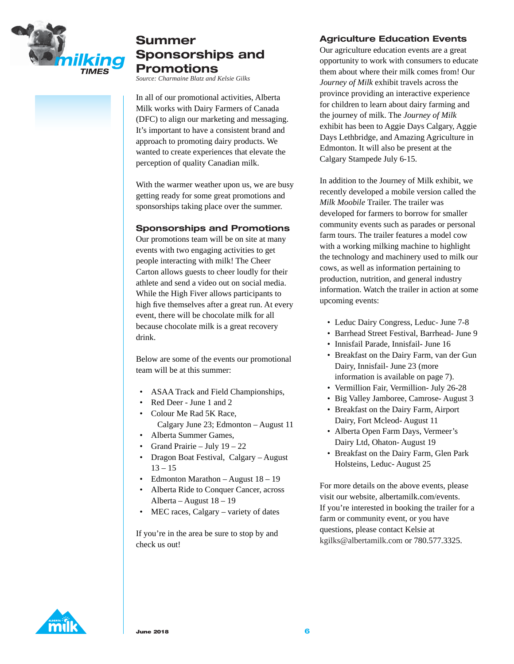

### **Summer Sponsorships and Promotions**

*Source: Charmaine Blatz and Kelsie Gilks* 

In all of our promotional activities, Alberta Milk works with Dairy Farmers of Canada (DFC) to align our marketing and messaging. It's important to have a consistent brand and approach to promoting dairy products. We wanted to create experiences that elevate the perception of quality Canadian milk.

With the warmer weather upon us, we are busy getting ready for some great promotions and sponsorships taking place over the summer.

#### **Sponsorships and Promotions**

Our promotions team will be on site at many events with two engaging activities to get people interacting with milk! The Cheer Carton allows guests to cheer loudly for their athlete and send a video out on social media. While the High Fiver allows participants to high five themselves after a great run. At every event, there will be chocolate milk for all because chocolate milk is a great recovery drink.

Below are some of the events our promotional team will be at this summer:

- ASAA Track and Field Championships,
- Red Deer June 1 and 2
- Colour Me Rad 5K Race, Calgary June 23; Edmonton – August 11
- Alberta Summer Games,
- Grand Prairie July 19 22
- Dragon Boat Festival, Calgary August  $13 - 15$
- Edmonton Marathon August 18 19
- Alberta Ride to Conquer Cancer, across Alberta – August 18 – 19
- MEC races, Calgary variety of dates

If you're in the area be sure to stop by and check us out!

### **Agriculture Education Events**

Our agriculture education events are a great opportunity to work with consumers to educate them about where their milk comes from! Our *Journey of Milk* exhibit travels across the province providing an interactive experience for children to learn about dairy farming and the journey of milk. The *Journey of Milk* exhibit has been to Aggie Days Calgary, Aggie Days Lethbridge, and Amazing Agriculture in Edmonton. It will also be present at the Calgary Stampede July 6-15.

In addition to the Journey of Milk exhibit, we recently developed a mobile version called the *Milk Moobile* Trailer. The trailer was developed for farmers to borrow for smaller community events such as parades or personal farm tours. The trailer features a model cow with a working milking machine to highlight the technology and machinery used to milk our cows, as well as information pertaining to production, nutrition, and general industry information. Watch the trailer in action at some upcoming events:

- Leduc Dairy Congress, Leduc- June 7-8
- Barrhead Street Festival, Barrhead- June 9
- Innisfail Parade, Innisfail- June 16
- Breakfast on the Dairy Farm, van der Gun Dairy, Innisfail- June 23 (more information is available on page 7).
- Vermillion Fair, Vermillion- July 26-28
- Big Valley Jamboree, Camrose- August 3
- Breakfast on the Dairy Farm, Airport Dairy, Fort Mcleod- August 11
- Alberta Open Farm Days, Vermeer's Dairy Ltd, Ohaton- August 19
- Breakfast on the Dairy Farm, Glen Park Holsteins, Leduc- August 25

For more details on the above events, please visit our website, albertamilk.com/events. If you're interested in booking the trailer for a farm or community event, or you have questions, please contact Kelsie at kgilks@albertamilk.com or 780.577.3325.

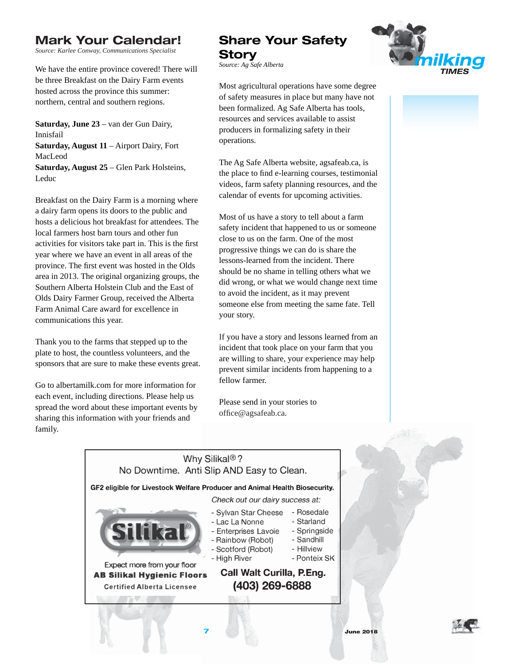# **Mark Your Calendar!**

*Source: Karlee Conway, Communications Specialist* 

We have the entire province covered! There will be three Breakfast on the Dairy Farm events hosted across the province this summer: northern, central and southern regions.

**Saturday, June 23** – van der Gun Dairy, Innisfail **Saturday, August 11** – Airport Dairy, Fort MacLeod **Saturday, August 25** – Glen Park Holsteins,

Leduc

Breakfast on the Dairy Farm is a morning where a dairy farm opens its doors to the public and hosts a delicious hot breakfast for attendees. The local farmers host barn tours and other fun activities for visitors take part in. This is the first year where we have an event in all areas of the province. The first event was hosted in the Olds area in 2013. The original organizing groups, the Southern Alberta Holstein Club and the East of Olds Dairy Farmer Group, received the Alberta Farm Animal Care award for excellence in communications this year.

Thank you to the farms that stepped up to the plate to host, the countless volunteers, and the sponsors that are sure to make these events great.

Go to albertamilk.com for more information for each event, including directions. Please help us spread the word about these important events by sharing this information with your friends and family.

# **Share Your Safety**

**Story**

*Source: Ag Safe Alberta*

Most agricultural operations have some degree of safety measures in place but many have not been formalized. Ag Safe Alberta has tools, resources and services available to assist producers in formalizing safety in their operations.

The Ag Safe Alberta website, agsafeab.ca, is the place to find e-learning courses, testimonial videos, farm safety planning resources, and the calendar of events for upcoming activities.

Most of us have a story to tell about a farm safety incident that happened to us or someone close to us on the farm. One of the most progressive things we can do is share the lessons-learned from the incident. There should be no shame in telling others what we did wrong, or what we would change next time to avoid the incident, as it may prevent someone else from meeting the same fate. Tell your story.

If you have a story and lessons learned from an incident that took place on your farm that you are willing to share, your experience may help prevent similar incidents from happening to a fellow farmer.

Please send in your stories to office@agsafeab.ca.





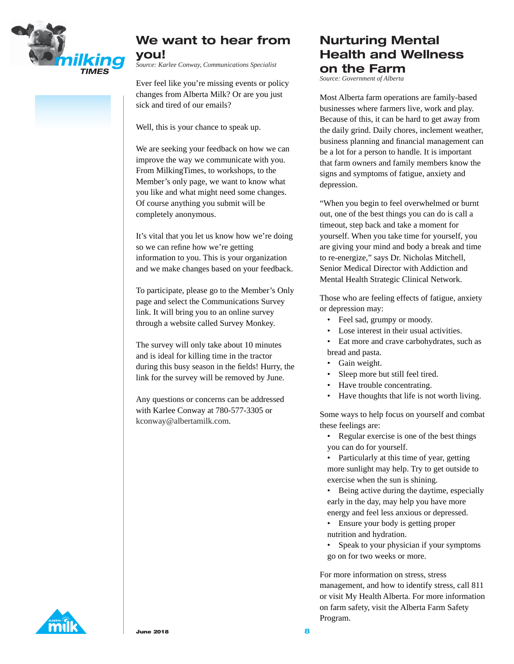

### **We want to hear from you!**

*Source: Karlee Conway, Communications Specialist* 

Ever feel like you're missing events or policy changes from Alberta Milk? Or are you just sick and tired of our emails?

Well, this is your chance to speak up.

We are seeking your feedback on how we can improve the way we communicate with you. From MilkingTimes, to workshops, to the Member's only page, we want to know what you like and what might need some changes. Of course anything you submit will be completely anonymous.

It's vital that you let us know how we're doing so we can refine how we're getting information to you. This is your organization and we make changes based on your feedback.

To participate, please go to the Member's Only page and select the Communications Survey link. It will bring you to an online survey through a website called Survey Monkey.

The survey will only take about 10 minutes and is ideal for killing time in the tractor during this busy season in the fields! Hurry, the link for the survey will be removed by June.

Any questions or concerns can be addressed with Karlee Conway at 780-577-3305 or kconway@albertamilk.com.

### **Nurturing Mental Health and Wellness on the Farm**

*Source: Government of Alberta*

Most Alberta farm operations are family-based businesses where farmers live, work and play. Because of this, it can be hard to get away from the daily grind. Daily chores, inclement weather, business planning and financial management can be a lot for a person to handle. It is important that farm owners and family members know the signs and symptoms of fatigue, anxiety and depression.

"When you begin to feel overwhelmed or burnt out, one of the best things you can do is call a timeout, step back and take a moment for yourself. When you take time for yourself, you are giving your mind and body a break and time to re-energize," says Dr. Nicholas Mitchell, Senior Medical Director with Addiction and Mental Health Strategic Clinical Network.

Those who are feeling effects of fatigue, anxiety or depression may:

- Feel sad, grumpy or moody.
- Lose interest in their usual activities.
- Eat more and crave carbohydrates, such as bread and pasta.
- Gain weight.
- Sleep more but still feel tired.
- Have trouble concentrating.
- Have thoughts that life is not worth living.

Some ways to help focus on yourself and combat these feelings are:

• Regular exercise is one of the best things you can do for yourself.

• Particularly at this time of year, getting more sunlight may help. Try to get outside to exercise when the sun is shining.

• Being active during the daytime, especially early in the day, may help you have more energy and feel less anxious or depressed.

• Ensure your body is getting proper nutrition and hydration.

Speak to your physician if your symptoms go on for two weeks or more.

For more information on stress, stress management, and how to identify stress, call 811 or visit My Health Alberta. For more information on farm safety, visit the Alberta Farm Safety Program.

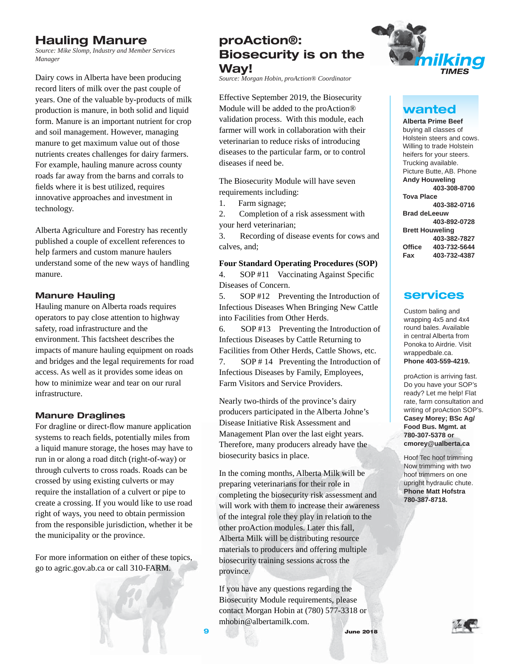### **Hauling Manure**

*Source: Mike Slomp, Industry and Member Services Manager*

Dairy cows in Alberta have been producing record liters of milk over the past couple of years. One of the valuable by-products of milk production is manure, in both solid and liquid form. Manure is an important nutrient for crop and soil management. However, managing manure to get maximum value out of those nutrients creates challenges for dairy farmers. For example, hauling manure across county roads far away from the barns and corrals to fields where it is best utilized, requires innovative approaches and investment in technology.

Alberta Agriculture and Forestry has recently published a couple of excellent references to help farmers and custom manure haulers understand some of the new ways of handling manure.

#### **Manure Hauling**

Hauling manure on Alberta roads requires operators to pay close attention to highway safety, road infrastructure and the environment. This factsheet describes the impacts of manure hauling equipment on roads and bridges and the legal requirements for road access. As well as it provides some ideas on how to minimize wear and tear on our rural infrastructure.

#### **Manure Draglines**

For dragline or direct-flow manure application systems to reach fields, potentially miles from a liquid manure storage, the hoses may have to run in or along a road ditch (right-of-way) or through culverts to cross roads. Roads can be crossed by using existing culverts or may require the installation of a culvert or pipe to create a crossing. If you would like to use road right of ways, you need to obtain permission from the responsible jurisdiction, whether it be the municipality or the province.

For more information on either of these topics, go to agric.gov.ab.ca or call 310-FARM.

### **proAction®: Biosecurity is on the Way!**

*Source: Morgan Hobin, proAction® Coordinator*

Effective September 2019, the Biosecurity Module will be added to the proAction® validation process. With this module, each farmer will work in collaboration with their veterinarian to reduce risks of introducing diseases to the particular farm, or to control diseases if need be.

The Biosecurity Module will have seven requirements including:

1. Farm signage;

2. Completion of a risk assessment with your herd veterinarian;

3. Recording of disease events for cows and calves, and;

#### **Four Standard Operating Procedures (SOP)**

4. SOP #11 Vaccinating Against Specific Diseases of Concern.

5. SOP #12 Preventing the Introduction of Infectious Diseases When Bringing New Cattle into Facilities from Other Herds.

6. SOP #13 Preventing the Introduction of Infectious Diseases by Cattle Returning to Facilities from Other Herds, Cattle Shows, etc. 7. SOP # 14 Preventing the Introduction of Infectious Diseases by Family, Employees, Farm Visitors and Service Providers.

Nearly two-thirds of the province's dairy producers participated in the Alberta Johne's Disease Initiative Risk Assessment and Management Plan over the last eight years. Therefore, many producers already have the biosecurity basics in place.

In the coming months, Alberta Milk will be preparing veterinarians for their role in completing the biosecurity risk assessment and will work with them to increase their awareness of the integral role they play in relation to the other proAction modules. Later this fall, Alberta Milk will be distributing resource materials to producers and offering multiple biosecurity training sessions across the province.

If you have any questions regarding the Biosecurity Module requirements, please contact Morgan Hobin at (780) 577-3318 or mhobin@albertamilk.com.



### **wanted**

**Alberta Prime Beef**  buying all classes of Holstein steers and cows. Willing to trade Holstein heifers for your steers. Trucking available. Picture Butte, AB. Phone **Andy Houweling 403-308-8700 Tova Place 403-382-0716 Brad deLeeuw 403-892-0728 Brett Houweling 403-382-7827 Offi ce 403-732-5644 Fax 403-732-4387**

### **services**

Custom baling and wrapping 4x5 and 4x4 round bales. Available in central Alberta from Ponoka to Airdrie. Visit wrappedbale.ca. **Phone 403-559-4219.**

proAction is arriving fast. Do you have your SOP's ready? Let me help! Flat rate, farm consultation and writing of proAction SOP's. **Casey Morey; BSc Ag/ Food Bus. Mgmt. at 780-307-5378 or cmorey@ualberta.ca**

Hoof Tec hoof trimming Now trimming with two hoof trimmers on one upright hydraulic chute. **Phone Matt Hofstra 780-387-8718.**

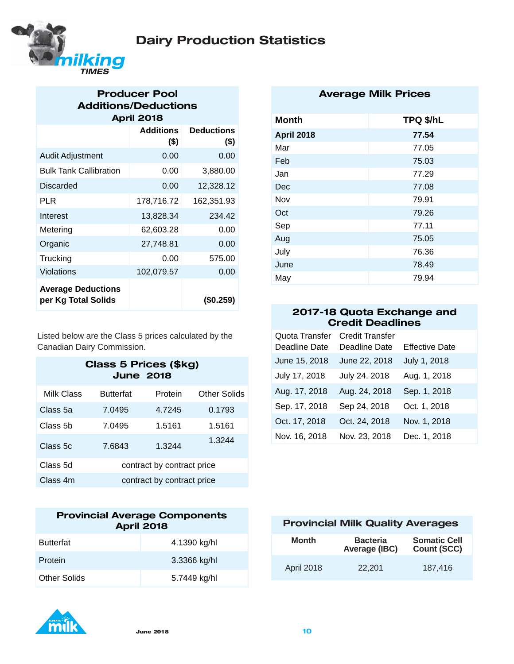



### **Producer Pool Additions/Deductions April 2018**

|                                                  | <b>Additions</b><br>$($ \$) | <b>Deductions</b><br>$($ \$) |
|--------------------------------------------------|-----------------------------|------------------------------|
| <b>Audit Adjustment</b>                          | 0.00                        | 0.00                         |
| <b>Bulk Tank Callibration</b>                    | 0.00                        | 3,880.00                     |
| Discarded                                        | 0.00                        | 12,328.12                    |
| PLR                                              | 178,716.72                  | 162,351.93                   |
| Interest                                         | 13,828.34                   | 234.42                       |
| Metering                                         | 62,603.28                   | 0.00                         |
| Organic                                          | 27,748.81                   | 0.00                         |
| Trucking                                         | 0.00                        | 575.00                       |
| Violations                                       | 102,079.57                  | 0.00                         |
| <b>Average Deductions</b><br>per Kg Total Solids |                             | (S0.259)                     |

Listed below are the Class 5 prices calculated by the Canadian Dairy Commission.

### **Class 5 Prices (\$kg) June 2018**

| Milk Class | <b>Butterfat</b>           | Protein | Other Solids |
|------------|----------------------------|---------|--------------|
| Class 5a   | 7.0495                     | 4.7245  | 0.1793       |
| Class 5b   | 7.0495                     | 1.5161  | 1.5161       |
| Class 5c   | 7.6843                     | 1.3244  | 1.3244       |
| Class 5d   | contract by contract price |         |              |
| Class 4m   | contract by contract price |         |              |

| <b>Provincial Average Components</b><br><b>April 2018</b> |              |  |
|-----------------------------------------------------------|--------------|--|
| <b>Butterfat</b>                                          | 4.1390 kg/hl |  |
| Protein                                                   | 3.3366 kg/hl |  |
| Other Solids                                              | 5.7449 kg/hl |  |

### **Average Milk Prices**

| TPQ \$/hL |
|-----------|
| 77.54     |
| 77.05     |
| 75.03     |
| 77.29     |
| 77.08     |
| 79.91     |
| 79.26     |
| 77.11     |
| 75.05     |
| 76.36     |
| 78.49     |
| 79.94     |
|           |

### **2017-18 Quota Exchange and Credit Deadlines**

| Quota Transfer | Credit Transfer |                       |
|----------------|-----------------|-----------------------|
| Deadline Date  | Deadline Date   | <b>Effective Date</b> |
| June 15, 2018  | June 22, 2018   | July 1, 2018          |
| July 17, 2018  | July 24. 2018   | Aug. 1, 2018          |
| Aug. 17, 2018  | Aug. 24, 2018   | Sep. 1, 2018          |
| Sep. 17, 2018  | Sep 24, 2018    | Oct. 1, 2018          |
| Oct. 17, 2018  | Oct. 24, 2018   | Nov. 1, 2018          |
| Nov. 16, 2018  | Nov. 23, 2018   | Dec. 1, 2018          |
|                |                 |                       |

### **Provincial Milk Quality Averages**

| Month             | <b>Bacteria</b><br>Average (IBC) | <b>Somatic Cell</b><br><b>Count (SCC)</b> |
|-------------------|----------------------------------|-------------------------------------------|
| <b>April 2018</b> | 22.201                           | 187,416                                   |

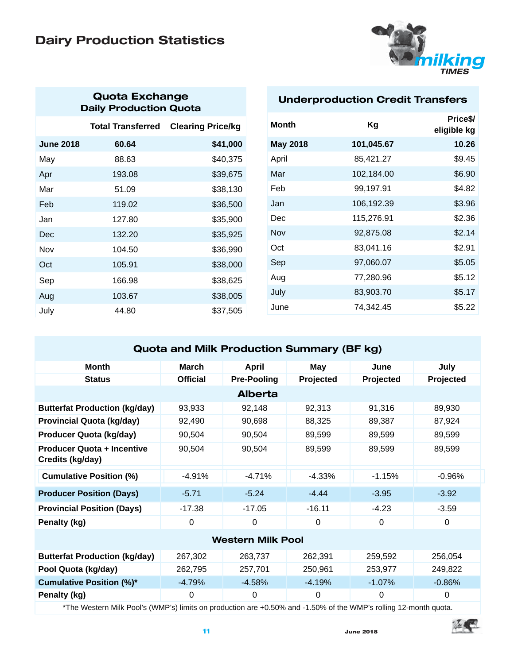## **Dairy Production Statistics**



### **Quota Exchange Daily Production Quota**

|                  | <b>Total Transferred</b> | <b>Clearing Price/kg</b> |
|------------------|--------------------------|--------------------------|
| <b>June 2018</b> | 60.64                    | \$41,000                 |
| May              | 88.63                    | \$40,375                 |
| Apr              | 193.08                   | \$39,675                 |
| Mar              | 51.09                    | \$38,130                 |
| Feb              | 119.02                   | \$36,500                 |
| Jan              | 127.80                   | \$35,900                 |
| Dec              | 132.20                   | \$35,925                 |
| Nov              | 104.50                   | \$36,990                 |
| Oct              | 105.91                   | \$38,000                 |
| Sep              | 166.98                   | \$38,625                 |
| Aug              | 103.67                   | \$38,005                 |
| July             | 44.80                    | \$37,505                 |

### **Underproduction Credit Transfers**

| Month           | Kg         | Price\$/<br>eligible kg |
|-----------------|------------|-------------------------|
| <b>May 2018</b> | 101,045.67 | 10.26                   |
| April           | 85,421.27  | \$9.45                  |
| Mar             | 102,184.00 | \$6.90                  |
| Feb             | 99,197.91  | \$4.82                  |
| Jan             | 106,192.39 | \$3.96                  |
| Dec             | 115,276.91 | \$2.36                  |
| Nov             | 92,875.08  | \$2.14                  |
| Oct             | 83,041.16  | \$2.91                  |
| Sep             | 97,060.07  | \$5.05                  |
| Aug             | 77,280.96  | \$5.12                  |
| July            | 83,903.70  | \$5.17                  |
| June            | 74,342.45  | \$5.22                  |

### **Quota and Milk Production Summary (BF kg) Month March April May June July Status Offi cial Pre-Pooling Projected Projected Projected Alberta Butterfat Production (kg/day)** 83,933 92,148 92,313 91,316 89,930 **Provincial Quota (kg/day)** 92,490 90,698 88,325 89,387 87,924 **Producer Quota (kg/day)** 90,504 90,504 89,599 89,599 89,599 89,599 **Producer Quota + Incentive Credits (kg/day)** 90,504 90,504 89,599 89,599 89,599 **Cumulative Position (%)** -4.91% -4.71% -4.33% -1.15% -0.96% **Producer Position (Days)** -5.71 -5.24 -4.44 -3.95 -3.92 **Provincial Position (Days)**  $-17.38$   $-17.05$   $-16.11$   $-4.23$   $-3.59$ **Penalty (kg)** 0000 0 **Western Milk Pool Butterfat Production (kg/day)** 267,302 263,737 262,391 259,592 256,054 **Pool Quota (kg/day)** 262,795 257,701 250,961 253,977 249,822 **Cumulative Position (%)\***  $-4.79\%$   $-4.58\%$   $-4.19\%$   $-1.07\%$   $-0.86\%$ **Penalty (kg)** 0000 0

\*The Western Milk Pool's (WMP's) limits on production are +0.50% and -1.50% of the WMP's rolling 12-month quota.